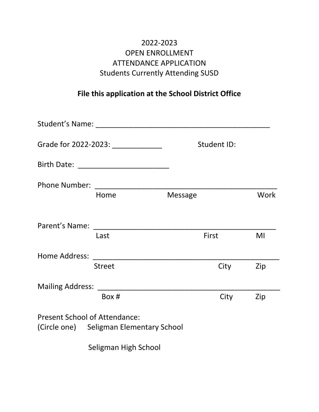## 2022-2023 OPEN ENROLLMENT ATTENDANCE APPLICATION Students Currently Attending SUSD

## **File this application at the School District Office**

| Grade for 2022-2023: ______________  |                                         |         | Student ID: |             |
|--------------------------------------|-----------------------------------------|---------|-------------|-------------|
|                                      |                                         |         |             |             |
|                                      |                                         |         |             |             |
|                                      | Home                                    | Message |             | <b>Work</b> |
|                                      |                                         |         |             |             |
|                                      | Last                                    | First   |             | MI          |
|                                      |                                         |         |             |             |
|                                      | <b>Street</b>                           |         | City        | Zip         |
|                                      |                                         |         |             |             |
|                                      | Box #                                   |         | City        | Zip         |
| <b>Present School of Attendance:</b> | (Circle one) Seligman Elementary School |         |             |             |
|                                      |                                         |         |             |             |

Seligman High School